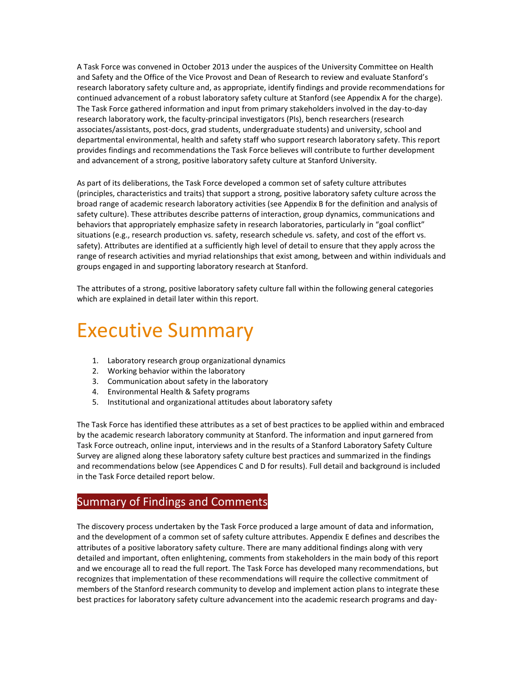A Task Force was convened in October 2013 under the auspices of the University Committee on Health and Safety and the Office of the Vice Provost and Dean of Research to review and evaluate Stanford's research laboratory safety culture and, as appropriate, identify findings and provide recommendations for continued advancement of a robust laboratory safety culture at Stanford (see Appendix A for the charge). The Task Force gathered information and input from primary stakeholders involved in the day-to-day research laboratory work, the faculty-principal investigators (PIs), bench researchers (research associates/assistants, post-docs, grad students, undergraduate students) and university, school and departmental environmental, health and safety staff who support research laboratory safety. This report provides findings and recommendations the Task Force believes will contribute to further development and advancement of a strong, positive laboratory safety culture at Stanford University.

As part of its deliberations, the Task Force developed a common set of safety culture attributes (principles, characteristics and traits) that support a strong, positive laboratory safety culture across the broad range of academic research laboratory activities (see Appendix B for the definition and analysis of safety culture). These attributes describe patterns of interaction, group dynamics, communications and behaviors that appropriately emphasize safety in research laboratories, particularly in "goal conflict" situations (e.g., research production vs. safety, research schedule vs. safety, and cost of the effort vs. safety). Attributes are identified at a sufficiently high level of detail to ensure that they apply across the range of research activities and myriad relationships that exist among, between and within individuals and groups engaged in and supporting laboratory research at Stanford.

The attributes of a strong, positive laboratory safety culture fall within the following general categories which are explained in detail later within this report.

# Executive Summary

- 1. Laboratory research group organizational dynamics
- 2. Working behavior within the laboratory
- 3. Communication about safety in the laboratory
- 4. Environmental Health & Safety programs
- 5. Institutional and organizational attitudes about laboratory safety

The Task Force has identified these attributes as a set of best practices to be applied within and embraced by the academic research laboratory community at Stanford. The information and input garnered from Task Force outreach, online input, interviews and in the results of a Stanford Laboratory Safety Culture Survey are aligned along these laboratory safety culture best practices and summarized in the findings and recommendations below (see Appendices C and D for results). Full detail and background is included in the Task Force detailed report below.

#### Summary of Findings and Comments

The discovery process undertaken by the Task Force produced a large amount of data and information, and the development of a common set of safety culture attributes. Appendix E defines and describes the attributes of a positive laboratory safety culture. There are many additional findings along with very detailed and important, often enlightening, comments from stakeholders in the main body of this report and we encourage all to read the full report. The Task Force has developed many recommendations, but recognizes that implementation of these recommendations will require the collective commitment of members of the Stanford research community to develop and implement action plans to integrate these best practices for laboratory safety culture advancement into the academic research programs and day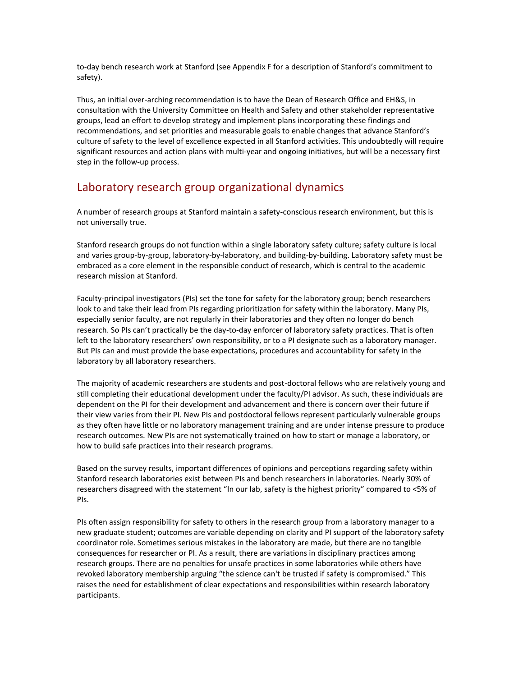to-day bench research work at Stanford (see Appendix F for a description of Stanford's commitment to safety).

Thus, an initial over-arching recommendation is to have the Dean of Research Office and EH&S, in consultation with the University Committee on Health and Safety and other stakeholder representative groups, lead an effort to develop strategy and implement plans incorporating these findings and recommendations, and set priorities and measurable goals to enable changes that advance Stanford's culture of safety to the level of excellence expected in all Stanford activities. This undoubtedly will require significant resources and action plans with multi-year and ongoing initiatives, but will be a necessary first step in the follow-up process.

#### Laboratory research group organizational dynamics

A number of research groups at Stanford maintain a safety-conscious research environment, but this is not universally true.

Stanford research groups do not function within a single laboratory safety culture; safety culture is local and varies group-by-group, laboratory-by-laboratory, and building-by-building. Laboratory safety must be embraced as a core element in the responsible conduct of research, which is central to the academic research mission at Stanford.

Faculty-principal investigators (PIs) set the tone for safety for the laboratory group; bench researchers look to and take their lead from PIs regarding prioritization for safety within the laboratory. Many PIs, especially senior faculty, are not regularly in their laboratories and they often no longer do bench research. So PIs can't practically be the day-to-day enforcer of laboratory safety practices. That is often left to the laboratory researchers' own responsibility, or to a PI designate such as a laboratory manager. But PIs can and must provide the base expectations, procedures and accountability for safety in the laboratory by all laboratory researchers.

The majority of academic researchers are students and post-doctoral fellows who are relatively young and still completing their educational development under the faculty/PI advisor. As such, these individuals are dependent on the PI for their development and advancement and there is concern over their future if their view varies from their PI. New PIs and postdoctoral fellows represent particularly vulnerable groups as they often have little or no laboratory management training and are under intense pressure to produce research outcomes. New PIs are not systematically trained on how to start or manage a laboratory, or how to build safe practices into their research programs.

Based on the survey results, important differences of opinions and perceptions regarding safety within Stanford research laboratories exist between PIs and bench researchers in laboratories. Nearly 30% of researchers disagreed with the statement "In our lab, safety is the highest priority" compared to <5% of PIs.

PIs often assign responsibility for safety to others in the research group from a laboratory manager to a new graduate student; outcomes are variable depending on clarity and PI support of the laboratory safety coordinator role. Sometimes serious mistakes in the laboratory are made, but there are no tangible consequences for researcher or PI. As a result, there are variations in disciplinary practices among research groups. There are no penalties for unsafe practices in some laboratories while others have revoked laboratory membership arguing "the science can't be trusted if safety is compromised." This raises the need for establishment of clear expectations and responsibilities within research laboratory participants.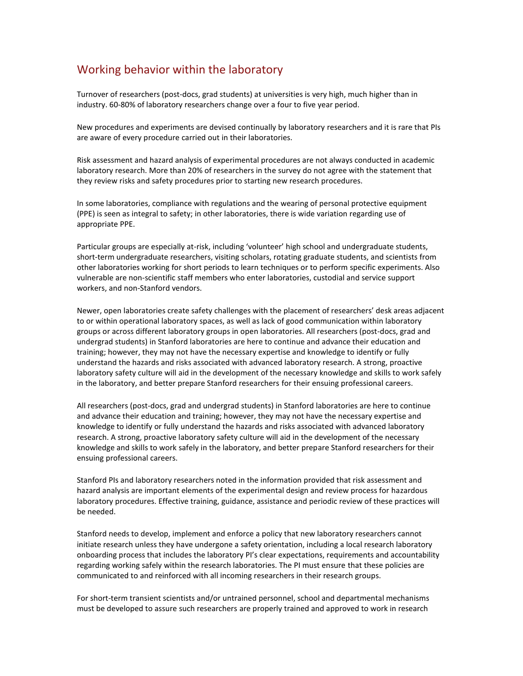## Working behavior within the laboratory

Turnover of researchers (post-docs, grad students) at universities is very high, much higher than in industry. 60-80% of laboratory researchers change over a four to five year period.

New procedures and experiments are devised continually by laboratory researchers and it is rare that PIs are aware of every procedure carried out in their laboratories.

Risk assessment and hazard analysis of experimental procedures are not always conducted in academic laboratory research. More than 20% of researchers in the survey do not agree with the statement that they review risks and safety procedures prior to starting new research procedures.

In some laboratories, compliance with regulations and the wearing of personal protective equipment (PPE) is seen as integral to safety; in other laboratories, there is wide variation regarding use of appropriate PPE.

Particular groups are especially at-risk, including 'volunteer' high school and undergraduate students, short-term undergraduate researchers, visiting scholars, rotating graduate students, and scientists from other laboratories working for short periods to learn techniques or to perform specific experiments. Also vulnerable are non-scientific staff members who enter laboratories, custodial and service support workers, and non-Stanford vendors.

Newer, open laboratories create safety challenges with the placement of researchers' desk areas adjacent to or within operational laboratory spaces, as well as lack of good communication within laboratory groups or across different laboratory groups in open laboratories. All researchers (post-docs, grad and undergrad students) in Stanford laboratories are here to continue and advance their education and training; however, they may not have the necessary expertise and knowledge to identify or fully understand the hazards and risks associated with advanced laboratory research. A strong, proactive laboratory safety culture will aid in the development of the necessary knowledge and skills to work safely in the laboratory, and better prepare Stanford researchers for their ensuing professional careers.

All researchers (post-docs, grad and undergrad students) in Stanford laboratories are here to continue and advance their education and training; however, they may not have the necessary expertise and knowledge to identify or fully understand the hazards and risks associated with advanced laboratory research. A strong, proactive laboratory safety culture will aid in the development of the necessary knowledge and skills to work safely in the laboratory, and better prepare Stanford researchers for their ensuing professional careers.

Stanford PIs and laboratory researchers noted in the information provided that risk assessment and hazard analysis are important elements of the experimental design and review process for hazardous laboratory procedures. Effective training, guidance, assistance and periodic review of these practices will be needed.

Stanford needs to develop, implement and enforce a policy that new laboratory researchers cannot initiate research unless they have undergone a safety orientation, including a local research laboratory onboarding process that includes the laboratory PI's clear expectations, requirements and accountability regarding working safely within the research laboratories. The PI must ensure that these policies are communicated to and reinforced with all incoming researchers in their research groups.

For short-term transient scientists and/or untrained personnel, school and departmental mechanisms must be developed to assure such researchers are properly trained and approved to work in research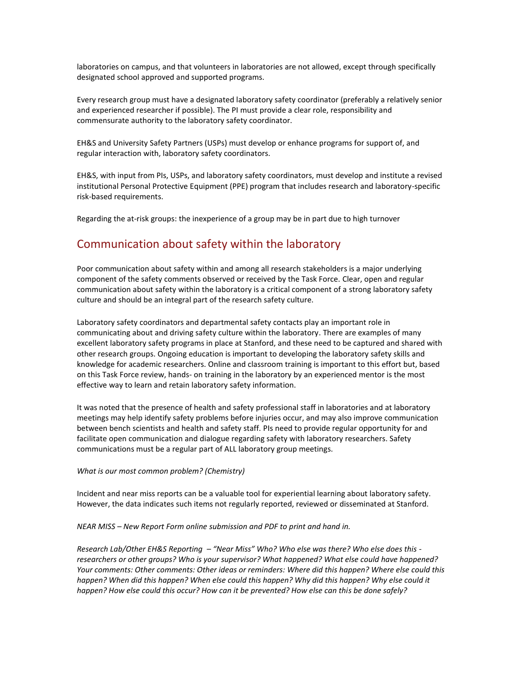laboratories on campus, and that volunteers in laboratories are not allowed, except through specifically designated school approved and supported programs.

Every research group must have a designated laboratory safety coordinator (preferably a relatively senior and experienced researcher if possible). The PI must provide a clear role, responsibility and commensurate authority to the laboratory safety coordinator.

EH&S and University Safety Partners (USPs) must develop or enhance programs for support of, and regular interaction with, laboratory safety coordinators.

EH&S, with input from PIs, USPs, and laboratory safety coordinators, must develop and institute a revised institutional Personal Protective Equipment (PPE) program that includes research and laboratory-specific risk-based requirements.

Regarding the at-risk groups: the inexperience of a group may be in part due to high turnover

#### Communication about safety within the laboratory

Poor communication about safety within and among all research stakeholders is a major underlying component of the safety comments observed or received by the Task Force. Clear, open and regular communication about safety within the laboratory is a critical component of a strong laboratory safety culture and should be an integral part of the research safety culture.

Laboratory safety coordinators and departmental safety contacts play an important role in communicating about and driving safety culture within the laboratory. There are examples of many excellent laboratory safety programs in place at Stanford, and these need to be captured and shared with other research groups. Ongoing education is important to developing the laboratory safety skills and knowledge for academic researchers. Online and classroom training is important to this effort but, based on this Task Force review, hands- on training in the laboratory by an experienced mentor is the most effective way to learn and retain laboratory safety information.

It was noted that the presence of health and safety professional staff in laboratories and at laboratory meetings may help identify safety problems before injuries occur, and may also improve communication between bench scientists and health and safety staff. PIs need to provide regular opportunity for and facilitate open communication and dialogue regarding safety with laboratory researchers. Safety communications must be a regular part of ALL laboratory group meetings.

#### *What is our most common problem? (Chemistry)*

Incident and near miss reports can be a valuable tool for experiential learning about laboratory safety. However, the data indicates such items not regularly reported, reviewed or disseminated at Stanford.

*NEAR MISS – New Report Form online submission and PDF to print and hand in.*

*Research Lab/Other EH&S Reporting – "Near Miss" Who? Who else was there? Who else does this researchers or other groups? Who is your supervisor? What happened? What else could have happened? Your comments: Other comments: Other ideas or reminders: Where did this happen? Where else could this happen? When did this happen? When else could this happen? Why did this happen? Why else could it happen? How else could this occur? How can it be prevented? How else can this be done safely?*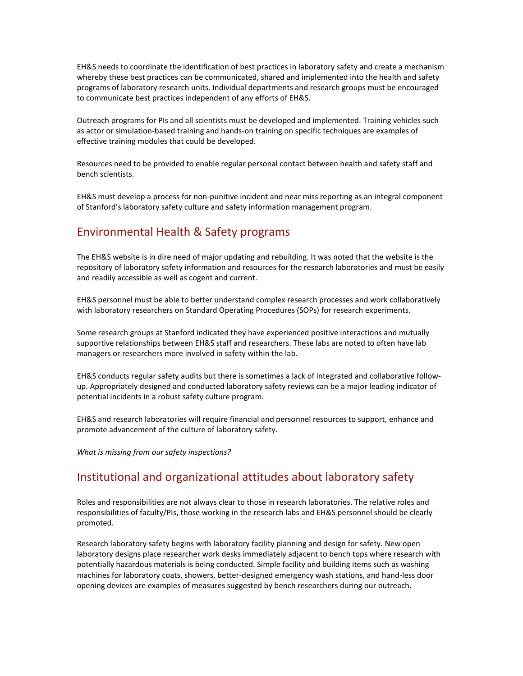EH&S needs to coordinate the identification of best practices in laboratory safety and create a mechanism whereby these best practices can be communicated, shared and implemented into the health and safety programs of laboratory research units. Individual departments and research groups must be encouraged to communicate best practices independent of any efforts of EH&S.

Outreach programs for PIs and all scientists must be developed and implemented. Training vehicles such as actor or simulation-based training and hands-on training on specific techniques are examples of effective training modules that could be developed.

Resources need to be provided to enable regular personal contact between health and safety staff and bench scientists.

EH&S must develop a process for non-punitive incident and near miss reporting as an integral component of Stanford's laboratory safety culture and safety information management program.

### Environmental Health & Safety programs

The EH&S website is in dire need of major updating and rebuilding. It was noted that the website is the repository of laboratory safety information and resources for the research laboratories and must be easily and readily accessible as well as cogent and current.

EH&S personnel must be able to better understand complex research processes and work collaboratively with laboratory researchers on Standard Operating Procedures (SOPs) for research experiments.

Some research groups at Stanford indicated they have experienced positive interactions and mutually supportive relationships between EH&S staff and researchers. These labs are noted to often have lab managers or researchers more involved in safety within the lab.

EH&S conducts regular safety audits but there is sometimes a lack of integrated and collaborative followup. Appropriately designed and conducted laboratory safety reviews can be a major leading indicator of potential incidents in a robust safety culture program.

EH&S and research laboratories will require financial and personnel resources to support, enhance and promote advancement of the culture of laboratory safety.

*What is missing from our safety inspections?*

#### Institutional and organizational attitudes about laboratory safety

Roles and responsibilities are not always clear to those in research laboratories. The relative roles and responsibilities of faculty/PIs, those working in the research labs and EH&S personnel should be clearly promoted.

Research laboratory safety begins with laboratory facility planning and design for safety. New open laboratory designs place researcher work desks immediately adjacent to bench tops where research with potentially hazardous materials is being conducted. Simple facility and building items such as washing machines for laboratory coats, showers, better-designed emergency wash stations, and hand-less door opening devices are examples of measures suggested by bench researchers during our outreach.